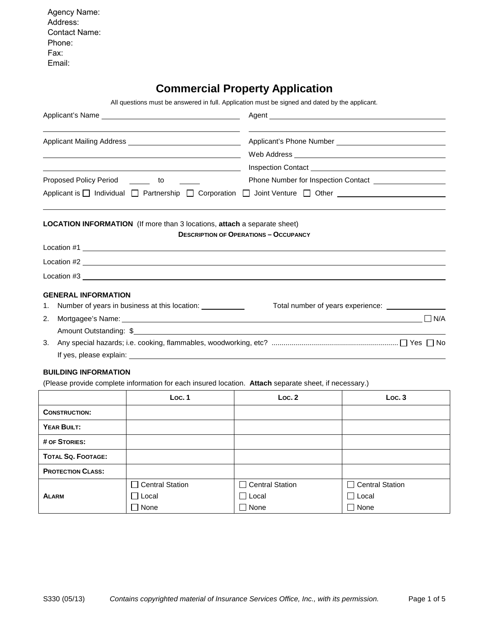Agency Name: Address: Contact Name: Phone: Fax: Email:

# **Commercial Property Application**

| All questions must be answered in full. Application must be signed and dated by the applicant. |  |
|------------------------------------------------------------------------------------------------|--|
|                                                                                                |  |
|                                                                                                |  |

|                                                                                                                                                                                                                               | Agent _                                      |                                                                                                                                                                                                                                     |  |  |
|-------------------------------------------------------------------------------------------------------------------------------------------------------------------------------------------------------------------------------|----------------------------------------------|-------------------------------------------------------------------------------------------------------------------------------------------------------------------------------------------------------------------------------------|--|--|
| Applicant Mailing Address __________________________________                                                                                                                                                                  |                                              |                                                                                                                                                                                                                                     |  |  |
|                                                                                                                                                                                                                               |                                              |                                                                                                                                                                                                                                     |  |  |
| <u> 1989 - Johann Barnett, fransk politiker (d. 1989)</u>                                                                                                                                                                     |                                              | Inspection Contact <u>experience</u> and the second service of the service of the series of the series of the series of the series of the series of the series of the series of the series of the series of the series of the serie |  |  |
| Proposed Policy Period _______ to                                                                                                                                                                                             |                                              | Phone Number for Inspection Contact <b>CONSUMPLER</b>                                                                                                                                                                               |  |  |
| Applicant is □ Individual □ Partnership □ Corporation □ Joint Venture □ Other                                                                                                                                                 |                                              |                                                                                                                                                                                                                                     |  |  |
| <b>LOCATION INFORMATION</b> (If more than 3 locations, attach a separate sheet)                                                                                                                                               | <b>DESCRIPTION OF OPERATIONS - OCCUPANCY</b> |                                                                                                                                                                                                                                     |  |  |
|                                                                                                                                                                                                                               |                                              |                                                                                                                                                                                                                                     |  |  |
|                                                                                                                                                                                                                               |                                              |                                                                                                                                                                                                                                     |  |  |
| Location #3 and the set of the set of the set of the set of the set of the set of the set of the set of the set of the set of the set of the set of the set of the set of the set of the set of the set of the set of the set |                                              |                                                                                                                                                                                                                                     |  |  |
| <b>GENERAL INFORMATION</b>                                                                                                                                                                                                    |                                              |                                                                                                                                                                                                                                     |  |  |
| Number of years in business at this location: ___________<br>1.                                                                                                                                                               |                                              | Total number of years experience: _____________                                                                                                                                                                                     |  |  |
| Mortgagee's Name: <u>contract and a series of the series of the series of the series of the series of the series of</u><br>2.                                                                                                 |                                              | $\Box$ N/A                                                                                                                                                                                                                          |  |  |
|                                                                                                                                                                                                                               |                                              |                                                                                                                                                                                                                                     |  |  |
| 3.                                                                                                                                                                                                                            |                                              |                                                                                                                                                                                                                                     |  |  |
|                                                                                                                                                                                                                               |                                              |                                                                                                                                                                                                                                     |  |  |
| <b>BUILDING INFORMATION</b>                                                                                                                                                                                                   |                                              |                                                                                                                                                                                                                                     |  |  |
| (Please provide complete information for each insured location. Attach separate sheet, if necessary.)                                                                                                                         |                                              |                                                                                                                                                                                                                                     |  |  |
| Loc.1                                                                                                                                                                                                                         | Loc.2                                        | Loc.3                                                                                                                                                                                                                               |  |  |
| <b>CONSTRUCTION:</b>                                                                                                                                                                                                          |                                              |                                                                                                                                                                                                                                     |  |  |
| YEAR BUILT:                                                                                                                                                                                                                   |                                              |                                                                                                                                                                                                                                     |  |  |
| # OF STORIES:                                                                                                                                                                                                                 |                                              |                                                                                                                                                                                                                                     |  |  |

| <b>TOTAL SQ. FOOTAGE:</b> |                 |                 |                 |
|---------------------------|-----------------|-----------------|-----------------|
| <b>PROTECTION CLASS:</b>  |                 |                 |                 |
|                           | Central Station | Central Station | Central Station |
| <b>ALARM</b>              | Local           | Local           | Local           |
|                           | None            | None            | None            |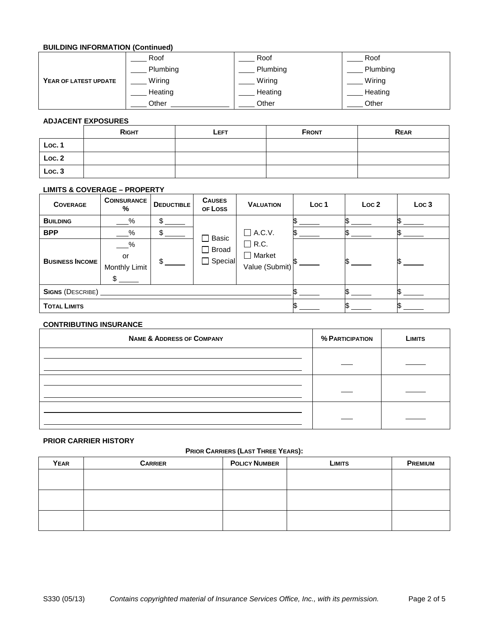## **BUILDING INFORMATION (Continued)**

|                       | Roof     | Roof     | Roof     |
|-----------------------|----------|----------|----------|
|                       | Plumbing | Plumbing | Plumbing |
| YEAR OF LATEST UPDATE | Wiring   | Wiring   | Wiring   |
|                       | Heating  | Heating  | Heating  |
|                       | Other    | Other    | Other    |

## **ADJACENT EXPOSURES**

| ____<br>_____ | ___          |      |              |             |
|---------------|--------------|------|--------------|-------------|
|               | <b>RIGHT</b> | LEFT | <b>FRONT</b> | <b>REAR</b> |
| Loc. 1        |              |      |              |             |
| Loc.2         |              |      |              |             |
| Loc.3         |              |      |              |             |

## **LIMITS & COVERAGE – PROPERTY**

| <b>COVERAGE</b>         | <b>COINSURANCE</b><br>%                     | <b>DEDUCTIBLE</b> | <b>CAUSES</b><br>OF LOSS       | <b>VALUATION</b>                               | Loc <sub>1</sub> | Loc <sub>2</sub> | Loc <sub>3</sub> |
|-------------------------|---------------------------------------------|-------------------|--------------------------------|------------------------------------------------|------------------|------------------|------------------|
| <b>BUILDING</b>         | %                                           | \$.               |                                |                                                |                  |                  |                  |
| <b>BPP</b>              | $\%$                                        | \$                |                                | $\Box$ A.C.V.<br>$\exists$ Basic               |                  |                  |                  |
| <b>BUSINESS INCOME</b>  | $-\frac{9}{6}$<br>or<br>Monthly Limit<br>\$ | $\mathbb{S}$      | $\Box$ Broad<br>$\Box$ Special | $\Box$ R.C.<br>$\Box$ Market<br>Value (Submit) |                  |                  |                  |
| <b>SIGNS (DESCRIBE)</b> |                                             |                   |                                |                                                |                  |                  |                  |
| <b>TOTAL LIMITS</b>     |                                             |                   |                                |                                                |                  |                  |                  |

## **CONTRIBUTING INSURANCE**

| <b>NAME &amp; ADDRESS OF COMPANY</b> | % PARTICIPATION | <b>LIMITS</b> |
|--------------------------------------|-----------------|---------------|
|                                      |                 |               |
|                                      |                 |               |
|                                      |                 |               |

## **PRIOR CARRIER HISTORY**

## **PRIOR CARRIERS (LAST THREE YEARS):**

| <b>YEAR</b> | <b>CARRIER</b> | <b>POLICY NUMBER</b> | <b>LIMITS</b> | <b>PREMIUM</b> |
|-------------|----------------|----------------------|---------------|----------------|
|             |                |                      |               |                |
|             |                |                      |               |                |
|             |                |                      |               |                |
|             |                |                      |               |                |
|             |                |                      |               |                |
|             |                |                      |               |                |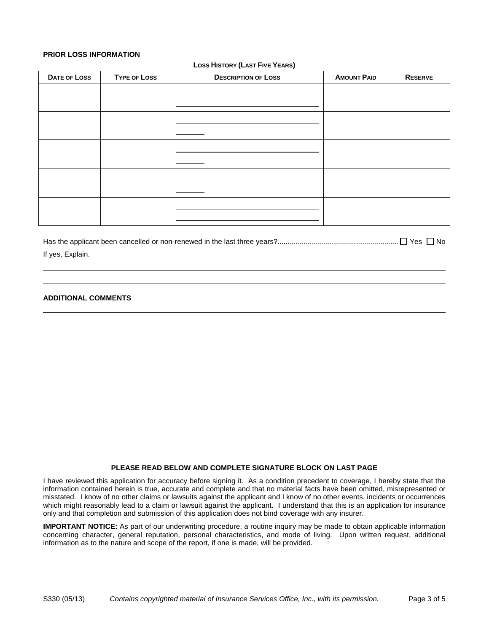## **PRIOR LOSS INFORMATION**

#### **LOSS HISTORY (LAST FIVE YEARS)**

| DATE OF LOSS | <b>TYPE OF LOSS</b> | <b>DESCRIPTION OF LOSS</b> | <b>AMOUNT PAID</b> | <b>RESERVE</b> |
|--------------|---------------------|----------------------------|--------------------|----------------|
|              |                     |                            |                    |                |
|              |                     |                            |                    |                |
|              |                     |                            |                    |                |
|              |                     |                            |                    |                |
|              |                     |                            |                    |                |
|              |                     |                            |                    |                |
|              |                     |                            |                    |                |
|              |                     |                            |                    |                |
|              |                     |                            |                    |                |
|              |                     |                            |                    |                |

Has the applicant been cancelled or non-renewed in the last three years?............................................................ Yes No

## If yes, Explain.

## **ADDITIONAL COMMENTS**

#### **PLEASE READ BELOW AND COMPLETE SIGNATURE BLOCK ON LAST PAGE**

I have reviewed this application for accuracy before signing it. As a condition precedent to coverage, I hereby state that the information contained herein is true, accurate and complete and that no material facts have been omitted, misrepresented or misstated. I know of no other claims or lawsuits against the applicant and I know of no other events, incidents or occurrences which might reasonably lead to a claim or lawsuit against the applicant. I understand that this is an application for insurance only and that completion and submission of this application does not bind coverage with any insurer.

**IMPORTANT NOTICE:** As part of our underwriting procedure, a routine inquiry may be made to obtain applicable information concerning character, general reputation, personal characteristics, and mode of living. Upon written request, additional information as to the nature and scope of the report, if one is made, will be provided.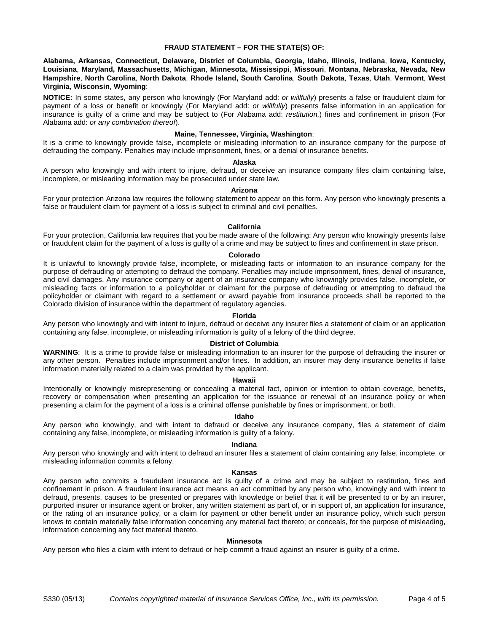## **FRAUD STATEMENT – FOR THE STATE(S) OF:**

**Alabama, Arkansas, Connecticut, Delaware, District of Columbia, Georgia, Idaho, Illinois, Indiana**, **Iowa, Kentucky, Louisiana**, **Maryland, Massachusetts**, **Michigan**, **Minnesota, Mississippi**, **Missouri**, **Montana**, **Nebraska**, **Nevada, New Hampshire**, **North Carolina**, **North Dakota**, **Rhode Island, South Carolina**, **South Dakota**, **Texas**, **Utah**, **Vermont**, **West Virginia**, **Wisconsin**, **Wyoming**:

**NOTICE:** In some states, any person who knowingly (For Maryland add: *or willfully*) presents a false or fraudulent claim for payment of a loss or benefit or knowingly (For Maryland add: *or willfully*) presents false information in an application for insurance is guilty of a crime and may be subject to (For Alabama add: *restitution,*) fines and confinement in prison (For Alabama add: *or any combination thereof*).

## **Maine, Tennessee, Virginia, Washington**:

It is a crime to knowingly provide false, incomplete or misleading information to an insurance company for the purpose of defrauding the company. Penalties may include imprisonment, fines, or a denial of insurance benefits.

#### **Alaska**

A person who knowingly and with intent to injure, defraud, or deceive an insurance company files claim containing false, incomplete, or misleading information may be prosecuted under state law.

#### **Arizona**

For your protection Arizona law requires the following statement to appear on this form. Any person who knowingly presents a false or fraudulent claim for payment of a loss is subject to criminal and civil penalties.

#### **California**

For your protection, California law requires that you be made aware of the following: Any person who knowingly presents false or fraudulent claim for the payment of a loss is guilty of a crime and may be subject to fines and confinement in state prison.

#### **Colorado**

It is unlawful to knowingly provide false, incomplete, or misleading facts or information to an insurance company for the purpose of defrauding or attempting to defraud the company. Penalties may include imprisonment, fines, denial of insurance, and civil damages. Any insurance company or agent of an insurance company who knowingly provides false, incomplete, or misleading facts or information to a policyholder or claimant for the purpose of defrauding or attempting to defraud the policyholder or claimant with regard to a settlement or award payable from insurance proceeds shall be reported to the Colorado division of insurance within the department of regulatory agencies.

#### **Florida**

Any person who knowingly and with intent to injure, defraud or deceive any insurer files a statement of claim or an application containing any false, incomplete, or misleading information is guilty of a felony of the third degree.

#### **District of Columbia**

**WARNING**: It is a crime to provide false or misleading information to an insurer for the purpose of defrauding the insurer or any other person. Penalties include imprisonment and/or fines. In addition, an insurer may deny insurance benefits if false information materially related to a claim was provided by the applicant.

#### **Hawaii**

Intentionally or knowingly misrepresenting or concealing a material fact, opinion or intention to obtain coverage, benefits, recovery or compensation when presenting an application for the issuance or renewal of an insurance policy or when presenting a claim for the payment of a loss is a criminal offense punishable by fines or imprisonment, or both.

#### **Idaho**

Any person who knowingly, and with intent to defraud or deceive any insurance company, files a statement of claim containing any false, incomplete, or misleading information is guilty of a felony.

#### **Indiana**

Any person who knowingly and with intent to defraud an insurer files a statement of claim containing any false, incomplete, or misleading information commits a felony.

## **Kansas**

Any person who commits a fraudulent insurance act is guilty of a crime and may be subject to restitution, fines and confinement in prison. A fraudulent insurance act means an act committed by any person who, knowingly and with intent to defraud, presents, causes to be presented or prepares with knowledge or belief that it will be presented to or by an insurer, purported insurer or insurance agent or broker, any written statement as part of, or in support of, an application for insurance, or the rating of an insurance policy, or a claim for payment or other benefit under an insurance policy, which such person knows to contain materially false information concerning any material fact thereto; or conceals, for the purpose of misleading, information concerning any fact material thereto.

#### **Minnesota**

Any person who files a claim with intent to defraud or help commit a fraud against an insurer is guilty of a crime.